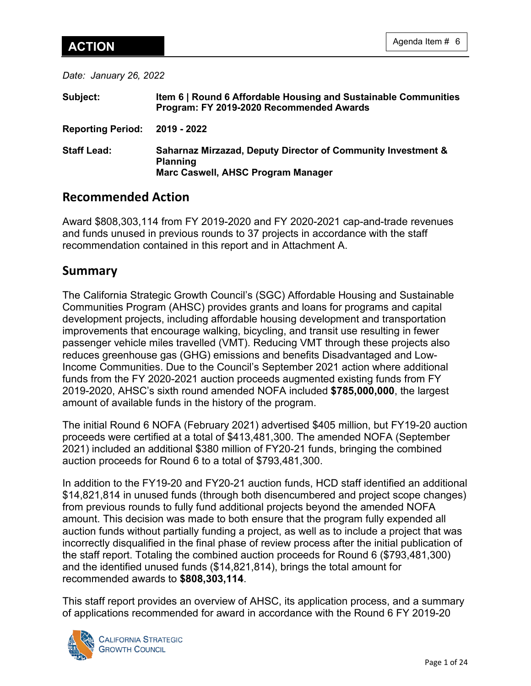*Date: January 26, 2022*

| Subject:                      | Item 6   Round 6 Affordable Housing and Sustainable Communities<br>Program: FY 2019-2020 Recommended Awards                      |
|-------------------------------|----------------------------------------------------------------------------------------------------------------------------------|
| Reporting Period: 2019 - 2022 |                                                                                                                                  |
| <b>Staff Lead:</b>            | <b>Saharnaz Mirzazad, Deputy Director of Community Investment &amp;</b><br><b>Planning</b><br>Marc Caswell, AHSC Program Manager |

# **Recommended Action**

Award \$808,303,114 from FY 2019-2020 and FY 2020-2021 cap-and-trade revenues and funds unused in previous rounds to 37 projects in accordance with the staff recommendation contained in this report and in Attachment A.

# **Summary**

The California Strategic Growth Council's (SGC) Affordable Housing and Sustainable Communities Program (AHSC) provides grants and loans for programs and capital development projects, including affordable housing development and transportation improvements that encourage walking, bicycling, and transit use resulting in fewer passenger vehicle miles travelled (VMT). Reducing VMT through these projects also reduces greenhouse gas (GHG) emissions and benefits Disadvantaged and Low-Income Communities. Due to the Council's September 2021 action where additional funds from the FY 2020-2021 auction proceeds augmented existing funds from FY 2019-2020, AHSC's sixth round amended NOFA included **\$785,000,000**, the largest amount of available funds in the history of the program.

The initial Round 6 NOFA (February 2021) advertised \$405 million, but FY19-20 auction proceeds were certified at a total of \$413,481,300. The amended NOFA (September 2021) included an additional \$380 million of FY20-21 funds, bringing the combined auction proceeds for Round 6 to a total of \$793,481,300.

In addition to the FY19-20 and FY20-21 auction funds, HCD staff identified an additional \$14,821,814 in unused funds (through both disencumbered and project scope changes) from previous rounds to fully fund additional projects beyond the amended NOFA amount. This decision was made to both ensure that the program fully expended all auction funds without partially funding a project, as well as to include a project that was incorrectly disqualified in the final phase of review process after the initial publication of the staff report. Totaling the combined auction proceeds for Round 6 (\$793,481,300) and the identified unused funds (\$14,821,814), brings the total amount for recommended awards to **\$808,303,114**.

This staff report provides an overview of AHSC, its application process, and a summary of applications recommended for award in accordance with the Round 6 FY 2019-20

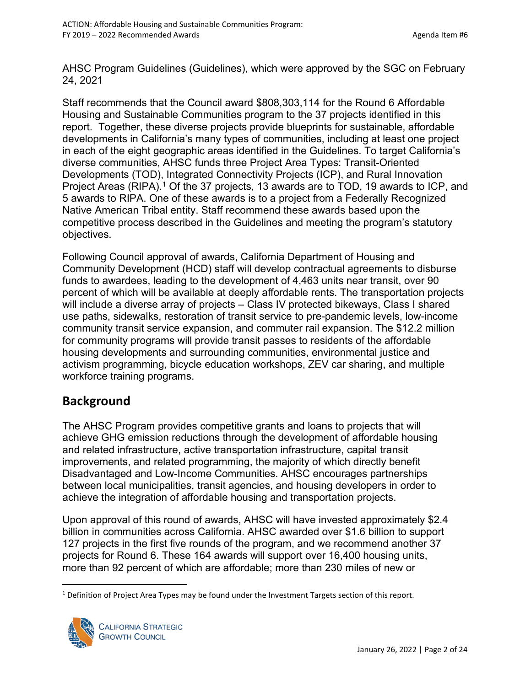AHSC Program Guidelines (Guidelines), which were approved by the SGC on February 24, 2021

Staff recommends that the Council award \$808,303,114 for the Round 6 Affordable Housing and Sustainable Communities program to the 37 projects identified in this report. Together, these diverse projects provide blueprints for sustainable, affordable developments in California's many types of communities, including at least one project in each of the eight geographic areas identified in the Guidelines. To target California's diverse communities, AHSC funds three Project Area Types: Transit-Oriented Developments (TOD), Integrated Connectivity Projects (ICP), and Rural Innovation Project Areas (RIPA).<sup>[1](#page-1-0)</sup> Of the 37 projects, 13 awards are to TOD, 19 awards to ICP, and 5 awards to RIPA. One of these awards is to a project from a Federally Recognized Native American Tribal entity. Staff recommend these awards based upon the competitive process described in the Guidelines and meeting the program's statutory objectives.

Following Council approval of awards, California Department of Housing and Community Development (HCD) staff will develop contractual agreements to disburse funds to awardees, leading to the development of 4,463 units near transit, over 90 percent of which will be available at deeply affordable rents. The transportation projects will include a diverse array of projects – Class IV protected bikeways, Class I shared use paths, sidewalks, restoration of transit service to pre-pandemic levels, low-income community transit service expansion, and commuter rail expansion. The \$12.2 million for community programs will provide transit passes to residents of the affordable housing developments and surrounding communities, environmental justice and activism programming, bicycle education workshops, ZEV car sharing, and multiple workforce training programs.

# **Background**

The AHSC Program provides competitive grants and loans to projects that will achieve GHG emission reductions through the development of affordable housing and related infrastructure, active transportation infrastructure, capital transit improvements, and related programming, the majority of which directly benefit Disadvantaged and Low-Income Communities. AHSC encourages partnerships between local municipalities, transit agencies, and housing developers in order to achieve the integration of affordable housing and transportation projects.

Upon approval of this round of awards, AHSC will have invested approximately \$2.4 billion in communities across California. AHSC awarded over \$1.6 billion to support 127 projects in the first five rounds of the program, and we recommend another 37 projects for Round 6. These 164 awards will support over 16,400 housing units, more than 92 percent of which are affordable; more than 230 miles of new or

<span id="page-1-0"></span> $1$  Definition of Project Area Types may be found under the Investment Targets section of this report.

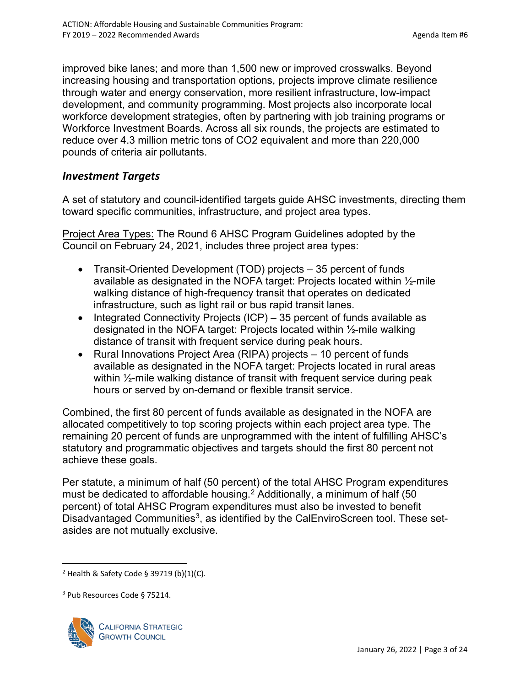improved bike lanes; and more than 1,500 new or improved crosswalks. Beyond increasing housing and transportation options, projects improve climate resilience through water and energy conservation, more resilient infrastructure, low-impact development, and community programming. Most projects also incorporate local workforce development strategies, often by partnering with job training programs or Workforce Investment Boards. Across all six rounds, the projects are estimated to reduce over 4.3 million metric tons of CO2 equivalent and more than 220,000 pounds of criteria air pollutants.

### *Investment Targets*

A set of statutory and council-identified targets guide AHSC investments, directing them toward specific communities, infrastructure, and project area types.

Project Area Types: The Round 6 AHSC Program Guidelines adopted by the Council on February 24, 2021, includes three project area types:

- Transit-Oriented Development (TOD) projects 35 percent of funds available as designated in the NOFA target: Projects located within ½-mile walking distance of high-frequency transit that operates on dedicated infrastructure, such as light rail or bus rapid transit lanes.
- Integrated Connectivity Projects (ICP) 35 percent of funds available as designated in the NOFA target: Projects located within ½-mile walking distance of transit with frequent service during peak hours.
- Rural Innovations Project Area (RIPA) projects 10 percent of funds available as designated in the NOFA target: Projects located in rural areas within 1/<sub>2</sub>-mile walking distance of transit with frequent service during peak hours or served by on-demand or flexible transit service.

Combined, the first 80 percent of funds available as designated in the NOFA are allocated competitively to top scoring projects within each project area type. The remaining 20 percent of funds are unprogrammed with the intent of fulfilling AHSC's statutory and programmatic objectives and targets should the first 80 percent not achieve these goals.

Per statute, a minimum of half (50 percent) of the total AHSC Program expenditures must be dedicated to affordable housing.<sup>[2](#page-2-0)</sup> Additionally, a minimum of half (50 percent) of total AHSC Program expenditures must also be invested to benefit Disadvantaged Communities<sup>[3](#page-2-1)</sup>, as identified by the CalEnviroScreen tool. These setasides are not mutually exclusive.

<span id="page-2-1"></span><sup>&</sup>lt;sup>3</sup> Pub Resources Code § 75214.



<span id="page-2-0"></span> $2$  Health & Safety Code § 39719 (b)(1)(C).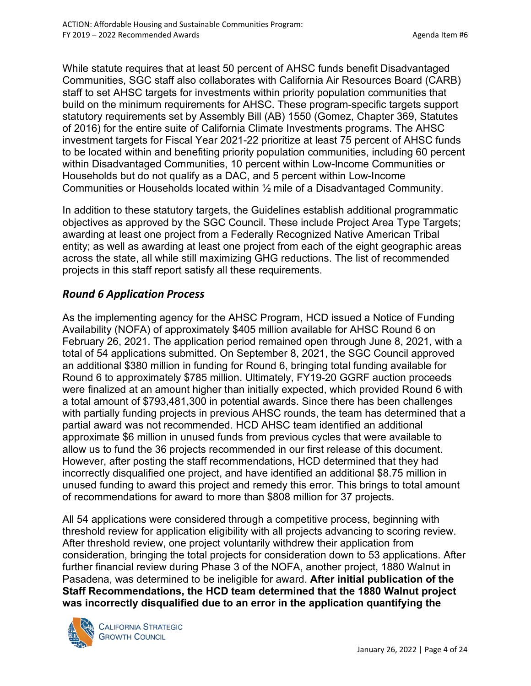While statute requires that at least 50 percent of AHSC funds benefit Disadvantaged Communities, SGC staff also collaborates with California Air Resources Board (CARB) staff to set AHSC targets for investments within priority population communities that build on the minimum requirements for AHSC. These program-specific targets support statutory requirements set by Assembly Bill (AB) 1550 (Gomez, Chapter 369, Statutes of 2016) for the entire suite of California Climate Investments programs. The AHSC investment targets for Fiscal Year 2021-22 prioritize at least 75 percent of AHSC funds to be located within and benefiting priority population communities, including 60 percent within Disadvantaged Communities, 10 percent within Low-Income Communities or Households but do not qualify as a DAC, and 5 percent within Low-Income Communities or Households located within ½ mile of a Disadvantaged Community.

In addition to these statutory targets, the Guidelines establish additional programmatic objectives as approved by the SGC Council. These include Project Area Type Targets; awarding at least one project from a Federally Recognized Native American Tribal entity; as well as awarding at least one project from each of the eight geographic areas across the state, all while still maximizing GHG reductions. The list of recommended projects in this staff report satisfy all these requirements.

## *Round 6 Application Process*

As the implementing agency for the AHSC Program, HCD issued a Notice of Funding Availability (NOFA) of approximately \$405 million available for AHSC Round 6 on February 26, 2021. The application period remained open through June 8, 2021, with a total of 54 applications submitted. On September 8, 2021, the SGC Council approved an additional \$380 million in funding for Round 6, bringing total funding available for Round 6 to approximately \$785 million. Ultimately, FY19-20 GGRF auction proceeds were finalized at an amount higher than initially expected, which provided Round 6 with a total amount of \$793,481,300 in potential awards. Since there has been challenges with partially funding projects in previous AHSC rounds, the team has determined that a partial award was not recommended. HCD AHSC team identified an additional approximate \$6 million in unused funds from previous cycles that were available to allow us to fund the 36 projects recommended in our first release of this document. However, after posting the staff recommendations, HCD determined that they had incorrectly disqualified one project, and have identified an additional \$8.75 million in unused funding to award this project and remedy this error. This brings to total amount of recommendations for award to more than \$808 million for 37 projects.

All 54 applications were considered through a competitive process, beginning with threshold review for application eligibility with all projects advancing to scoring review. After threshold review, one project voluntarily withdrew their application from consideration, bringing the total projects for consideration down to 53 applications. After further financial review during Phase 3 of the NOFA, another project, 1880 Walnut in Pasadena, was determined to be ineligible for award. **After initial publication of the Staff Recommendations, the HCD team determined that the 1880 Walnut project was incorrectly disqualified due to an error in the application quantifying the** 



**CALIFORNIA STRATEGIC GROWTH COUNCIL**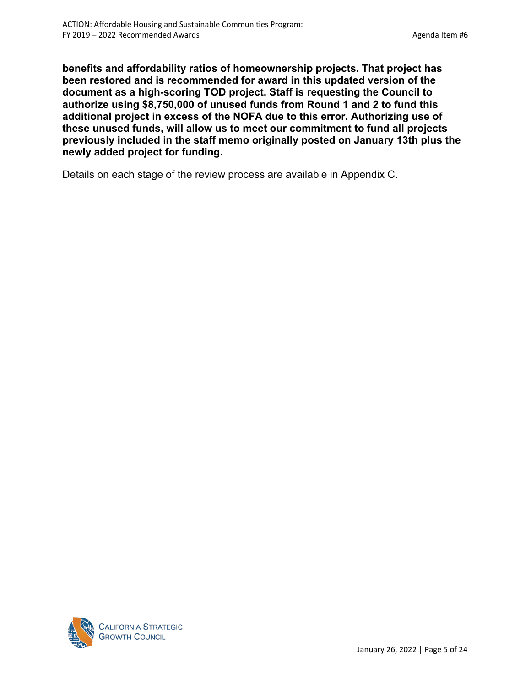**benefits and affordability ratios of homeownership projects. That project has been restored and is recommended for award in this updated version of the document as a high-scoring TOD project. Staff is requesting the Council to authorize using \$8,750,000 of unused funds from Round 1 and 2 to fund this additional project in excess of the NOFA due to this error. Authorizing use of these unused funds, will allow us to meet our commitment to fund all projects previously included in the staff memo originally posted on January 13th plus the newly added project for funding.** 

Details on each stage of the review process are available in Appendix C.

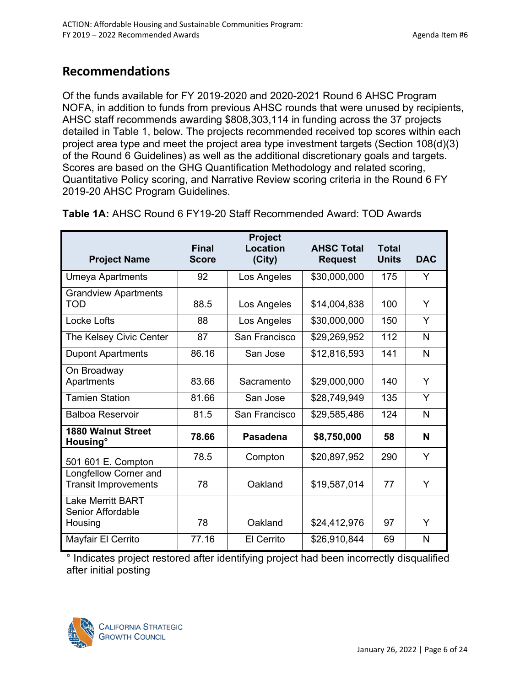# **Recommendations**

Of the funds available for FY 2019-2020 and 2020-2021 Round 6 AHSC Program NOFA, in addition to funds from previous AHSC rounds that were unused by recipients, AHSC staff recommends awarding \$808,303,114 in funding across the 37 projects detailed in Table 1, below. The projects recommended received top scores within each project area type and meet the project area type investment targets (Section 108(d)(3) of the Round 6 Guidelines) as well as the additional discretionary goals and targets. Scores are based on the GHG Quantification Methodology and related scoring, Quantitative Policy scoring, and Narrative Review scoring criteria in the Round 6 FY 2019-20 AHSC Program Guidelines.

| <b>Project Name</b>                                      | <b>Final</b><br><b>Score</b> | Project<br>Location<br>(City) | <b>AHSC Total</b><br><b>Request</b> | <b>Total</b><br><b>Units</b> | <b>DAC</b> |
|----------------------------------------------------------|------------------------------|-------------------------------|-------------------------------------|------------------------------|------------|
| <b>Umeya Apartments</b>                                  | 92                           | Los Angeles                   | \$30,000,000                        | 175                          | Y          |
| <b>Grandview Apartments</b><br><b>TOD</b>                | 88.5                         | Los Angeles                   | \$14,004,838                        | 100                          | Y          |
| <b>Locke Lofts</b>                                       | 88                           | Los Angeles                   | \$30,000,000                        | 150                          | Y          |
| The Kelsey Civic Center                                  | 87                           | San Francisco                 | \$29,269,952                        | 112                          | N          |
| <b>Dupont Apartments</b>                                 | 86.16                        | San Jose                      | \$12,816,593                        | 141                          | N          |
| On Broadway<br>Apartments                                | 83.66                        | Sacramento                    | \$29,000,000                        | 140                          | Y          |
| <b>Tamien Station</b>                                    | 81.66                        | San Jose                      | \$28,749,949                        | 135                          | Y          |
| <b>Balboa Reservoir</b>                                  | 81.5                         | San Francisco                 | \$29,585,486                        | 124                          | N          |
| <b>1880 Walnut Street</b><br>Housing <sup>o</sup>        | 78.66                        | <b>Pasadena</b>               | \$8,750,000                         | 58                           | N          |
| 501 601 E. Compton                                       | 78.5                         | Compton                       | \$20,897,952                        | 290                          | Y          |
| Longfellow Corner and<br><b>Transit Improvements</b>     | 78                           | Oakland                       | \$19,587,014                        | 77                           | Y          |
| <b>Lake Merritt BART</b><br>Senior Affordable<br>Housing | 78                           | Oakland                       | \$24,412,976                        | 97                           | Y          |
| Mayfair El Cerrito                                       | 77.16                        | El Cerrito                    | \$26,910,844                        | 69                           | N          |

**Table 1A:** AHSC Round 6 FY19-20 Staff Recommended Award: TOD Awards

° Indicates project restored after identifying project had been incorrectly disqualified after initial posting

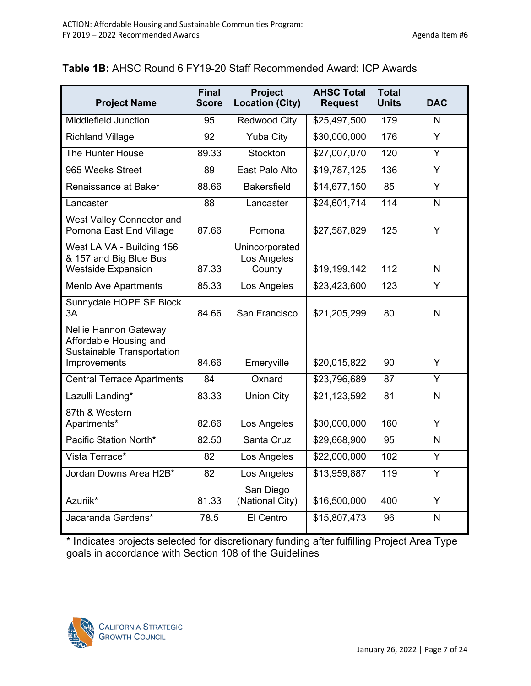## **Table 1B:** AHSC Round 6 FY19-20 Staff Recommended Award: ICP Awards

| <b>Project Name</b>                                                                           | Final<br><b>Score</b> | <b>Project</b><br><b>Location (City)</b> | <b>AHSC Total</b><br><b>Request</b> | <b>Total</b><br><b>Units</b> | <b>DAC</b>     |
|-----------------------------------------------------------------------------------------------|-----------------------|------------------------------------------|-------------------------------------|------------------------------|----------------|
| Middlefield Junction                                                                          | 95                    | <b>Redwood City</b>                      | \$25,497,500                        | 179                          | N              |
| <b>Richland Village</b>                                                                       | 92                    | <b>Yuba City</b>                         | \$30,000,000                        | 176                          | $\overline{Y}$ |
| The Hunter House                                                                              | 89.33                 | Stockton                                 | \$27,007,070                        | 120                          | Y              |
| 965 Weeks Street                                                                              | 89                    | East Palo Alto                           | \$19,787,125                        | 136                          | Y              |
| Renaissance at Baker                                                                          | 88.66                 | <b>Bakersfield</b>                       | \$14,677,150                        | 85                           | Y              |
| Lancaster                                                                                     | 88                    | Lancaster                                | \$24,601,714                        | 114                          | N.             |
| West Valley Connector and<br>Pomona East End Village                                          | 87.66                 | Pomona                                   | \$27,587,829                        | 125                          | Y              |
| West LA VA - Building 156<br>& 157 and Big Blue Bus<br><b>Westside Expansion</b>              | 87.33                 | Unincorporated<br>Los Angeles<br>County  | \$19,199,142                        | 112                          | $\mathsf{N}$   |
| <b>Menlo Ave Apartments</b>                                                                   | 85.33                 | Los Angeles                              | \$23,423,600                        | 123                          | $\overline{Y}$ |
| Sunnydale HOPE SF Block<br>3A                                                                 | 84.66                 | San Francisco                            | \$21,205,299                        | 80                           | $\mathsf{N}$   |
| Nellie Hannon Gateway<br>Affordable Housing and<br>Sustainable Transportation<br>Improvements | 84.66                 | Emeryville                               | \$20,015,822                        | 90                           | Y              |
| <b>Central Terrace Apartments</b>                                                             | 84                    | Oxnard                                   | \$23,796,689                        | 87                           | Y              |
| Lazulli Landing*                                                                              | 83.33                 | <b>Union City</b>                        | \$21,123,592                        | 81                           | N              |
| 87th & Western<br>Apartments*                                                                 | 82.66                 | Los Angeles                              | \$30,000,000                        | 160                          | Y              |
| Pacific Station North*                                                                        | 82.50                 | Santa Cruz                               | \$29,668,900                        | 95                           | N              |
| Vista Terrace*                                                                                | 82                    | Los Angeles                              | \$22,000,000                        | 102                          | Y              |
| Jordan Downs Area H2B*                                                                        | 82                    | Los Angeles                              | \$13,959,887                        | 119                          | $\overline{Y}$ |
| Azuriik*                                                                                      | 81.33                 | San Diego<br>(National City)             | \$16,500,000                        | 400                          | Y              |
| Jacaranda Gardens*                                                                            | 78.5                  | El Centro                                | \$15,807,473                        | 96                           | $\mathsf{N}$   |

\* Indicates projects selected for discretionary funding after fulfilling Project Area Type goals in accordance with Section 108 of the Guidelines

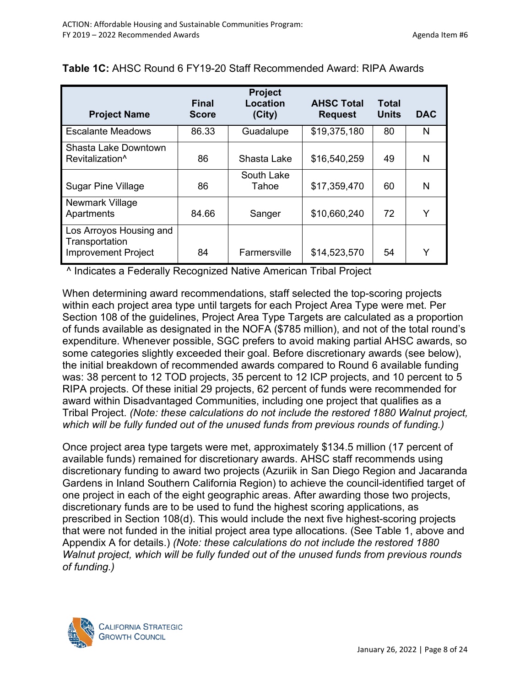| <b>Project Name</b>                                                     | <b>Final</b><br><b>Score</b> | <b>Project</b><br><b>Location</b><br>(City) | <b>AHSC Total</b><br><b>Request</b> | <b>Total</b><br><b>Units</b> | <b>DAC</b> |
|-------------------------------------------------------------------------|------------------------------|---------------------------------------------|-------------------------------------|------------------------------|------------|
| <b>Escalante Meadows</b>                                                | 86.33                        | Guadalupe                                   | \$19,375,180                        | 80                           | N          |
| <b>Shasta Lake Downtown</b><br>Revitalization <sup>^</sup>              | 86                           | Shasta Lake                                 | \$16,540,259                        | 49                           | N          |
| <b>Sugar Pine Village</b>                                               | 86                           | South Lake<br>Tahoe                         | \$17,359,470                        | 60                           | N          |
| Newmark Village<br>Apartments                                           | 84.66                        | Sanger                                      | \$10,660,240                        | 72                           | Y          |
| Los Arroyos Housing and<br>Transportation<br><b>Improvement Project</b> | 84                           | Farmersville                                | \$14,523,570                        | 54                           | Y          |

### **Table 1C:** AHSC Round 6 FY19-20 Staff Recommended Award: RIPA Awards

^ Indicates a Federally Recognized Native American Tribal Project

When determining award recommendations, staff selected the top-scoring projects within each project area type until targets for each Project Area Type were met. Per Section 108 of the guidelines, Project Area Type Targets are calculated as a proportion of funds available as designated in the NOFA (\$785 million), and not of the total round's expenditure. Whenever possible, SGC prefers to avoid making partial AHSC awards, so some categories slightly exceeded their goal. Before discretionary awards (see below), the initial breakdown of recommended awards compared to Round 6 available funding was: 38 percent to 12 TOD projects, 35 percent to 12 ICP projects, and 10 percent to 5 RIPA projects. Of these initial 29 projects, 62 percent of funds were recommended for award within Disadvantaged Communities, including one project that qualifies as a Tribal Project. *(Note: these calculations do not include the restored 1880 Walnut project, which will be fully funded out of the unused funds from previous rounds of funding.)*

Once project area type targets were met, approximately \$134.5 million (17 percent of available funds) remained for discretionary awards. AHSC staff recommends using discretionary funding to award two projects (Azuriik in San Diego Region and Jacaranda Gardens in Inland Southern California Region) to achieve the council-identified target of one project in each of the eight geographic areas. After awarding those two projects, discretionary funds are to be used to fund the highest scoring applications, as prescribed in Section 108(d). This would include the next five highest-scoring projects that were not funded in the initial project area type allocations. (See Table 1, above and Appendix A for details.) *(Note: these calculations do not include the restored 1880 Walnut project, which will be fully funded out of the unused funds from previous rounds of funding.)*

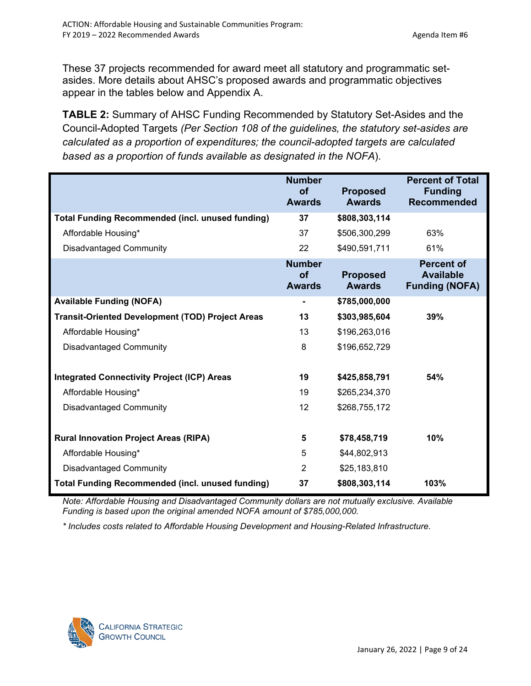These 37 projects recommended for award meet all statutory and programmatic setasides. More details about AHSC's proposed awards and programmatic objectives appear in the tables below and Appendix A.

**TABLE 2:** Summary of AHSC Funding Recommended by Statutory Set-Asides and the Council-Adopted Targets *(Per Section 108 of the guidelines, the statutory set-asides are calculated as a proportion of expenditures; the council-adopted targets are calculated based as a proportion of funds available as designated in the NOFA*).

|                                                         | <b>Number</b><br><b>of</b><br><b>Awards</b> | <b>Proposed</b><br><b>Awards</b> | <b>Percent of Total</b><br><b>Funding</b><br><b>Recommended</b> |
|---------------------------------------------------------|---------------------------------------------|----------------------------------|-----------------------------------------------------------------|
| <b>Total Funding Recommended (incl. unused funding)</b> | 37                                          | \$808,303,114                    |                                                                 |
| Affordable Housing*                                     | 37                                          | \$506,300,299                    | 63%                                                             |
| <b>Disadvantaged Community</b>                          | 22                                          | \$490,591,711                    | 61%                                                             |
|                                                         | <b>Number</b><br><b>of</b><br><b>Awards</b> | <b>Proposed</b><br><b>Awards</b> | <b>Percent of</b><br><b>Available</b><br><b>Funding (NOFA)</b>  |
| <b>Available Funding (NOFA)</b>                         | $\blacksquare$                              | \$785,000,000                    |                                                                 |
| <b>Transit-Oriented Development (TOD) Project Areas</b> | 13                                          | \$303,985,604                    | 39%                                                             |
| Affordable Housing*                                     | 13                                          | \$196,263,016                    |                                                                 |
| <b>Disadvantaged Community</b>                          | 8                                           | \$196,652,729                    |                                                                 |
| <b>Integrated Connectivity Project (ICP) Areas</b>      | 19                                          | \$425,858,791                    | 54%                                                             |
| Affordable Housing*                                     | 19                                          | \$265,234,370                    |                                                                 |
| <b>Disadvantaged Community</b>                          | 12                                          | \$268,755,172                    |                                                                 |
| <b>Rural Innovation Project Areas (RIPA)</b>            | 5                                           | \$78,458,719                     | 10%                                                             |
| Affordable Housing*                                     | 5                                           | \$44,802,913                     |                                                                 |
| <b>Disadvantaged Community</b>                          | $\overline{2}$                              | \$25,183,810                     |                                                                 |
| <b>Total Funding Recommended (incl. unused funding)</b> | 37                                          | \$808,303,114                    | 103%                                                            |

*Note: Affordable Housing and Disadvantaged Community dollars are not mutually exclusive. Available Funding is based upon the original amended NOFA amount of \$785,000,000.* 

*\* Includes costs related to Affordable Housing Development and Housing-Related Infrastructure.*

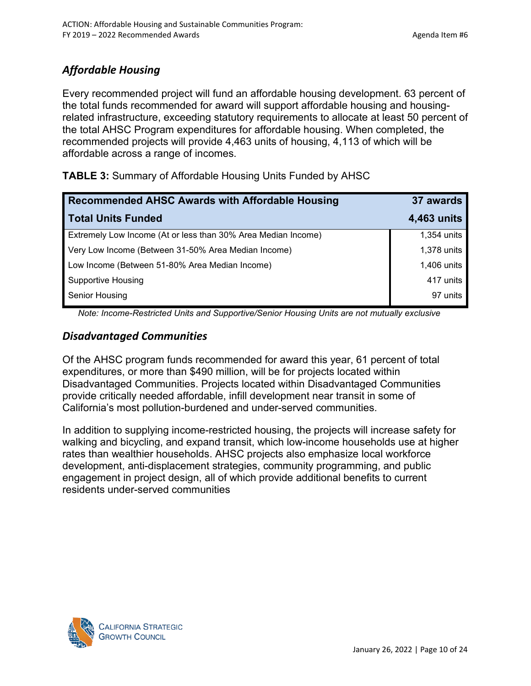# *Affordable Housing*

Every recommended project will fund an affordable housing development. 63 percent of the total funds recommended for award will support affordable housing and housingrelated infrastructure, exceeding statutory requirements to allocate at least 50 percent of the total AHSC Program expenditures for affordable housing. When completed, the recommended projects will provide 4,463 units of housing, 4,113 of which will be affordable across a range of incomes.

**TABLE 3:** Summary of Affordable Housing Units Funded by AHSC

| Recommended AHSC Awards with Affordable Housing               | 37 awards   |
|---------------------------------------------------------------|-------------|
| <b>Total Units Funded</b>                                     | 4,463 units |
| Extremely Low Income (At or less than 30% Area Median Income) | 1,354 units |
| Very Low Income (Between 31-50% Area Median Income)           | 1,378 units |
| Low Income (Between 51-80% Area Median Income)                | 1,406 units |
| <b>Supportive Housing</b>                                     | 417 units   |
| Senior Housing                                                | 97 units    |

*Note: Income-Restricted Units and Supportive/Senior Housing Units are not mutually exclusive* 

## *Disadvantaged Communities*

Of the AHSC program funds recommended for award this year, 61 percent of total expenditures, or more than \$490 million, will be for projects located within Disadvantaged Communities. Projects located within Disadvantaged Communities provide critically needed affordable, infill development near transit in some of California's most pollution-burdened and under-served communities.

In addition to supplying income-restricted housing, the projects will increase safety for walking and bicycling, and expand transit, which low-income households use at higher rates than wealthier households. AHSC projects also emphasize local workforce development, anti-displacement strategies, community programming, and public engagement in project design, all of which provide additional benefits to current residents under-served communities

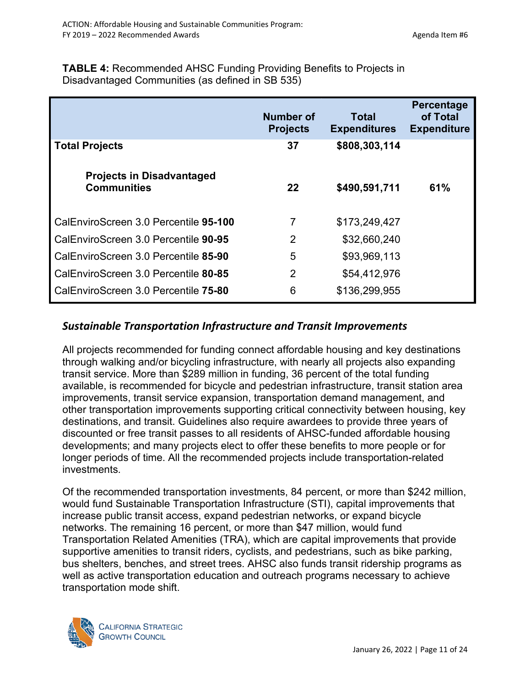**TABLE 4:** Recommended AHSC Funding Providing Benefits to Projects in Disadvantaged Communities (as defined in SB 535)

|                                                        | <b>Number of</b><br><b>Projects</b> | Total<br><b>Expenditures</b> | <b>Percentage</b><br>of Total<br><b>Expenditure</b> |
|--------------------------------------------------------|-------------------------------------|------------------------------|-----------------------------------------------------|
| <b>Total Projects</b>                                  | 37                                  | \$808,303,114                |                                                     |
| <b>Projects in Disadvantaged</b><br><b>Communities</b> | 22                                  | \$490,591,711                | 61%                                                 |
| CalEnviroScreen 3.0 Percentile 95-100                  | 7                                   | \$173,249,427                |                                                     |
| CalEnviroScreen 3.0 Percentile 90-95                   | 2                                   | \$32,660,240                 |                                                     |
| CalEnviroScreen 3.0 Percentile 85-90                   | 5                                   | \$93,969,113                 |                                                     |
| CalEnviroScreen 3.0 Percentile 80-85                   | $\overline{2}$                      | \$54,412,976                 |                                                     |
| CalEnviroScreen 3.0 Percentile 75-80                   | 6                                   | \$136,299,955                |                                                     |

## *Sustainable Transportation Infrastructure and Transit Improvements*

All projects recommended for funding connect affordable housing and key destinations through walking and/or bicycling infrastructure, with nearly all projects also expanding transit service. More than \$289 million in funding, 36 percent of the total funding available, is recommended for bicycle and pedestrian infrastructure, transit station area improvements, transit service expansion, transportation demand management, and other transportation improvements supporting critical connectivity between housing, key destinations, and transit. Guidelines also require awardees to provide three years of discounted or free transit passes to all residents of AHSC-funded affordable housing developments; and many projects elect to offer these benefits to more people or for longer periods of time. All the recommended projects include transportation-related investments.

Of the recommended transportation investments, 84 percent, or more than \$242 million, would fund Sustainable Transportation Infrastructure (STI), capital improvements that increase public transit access, expand pedestrian networks, or expand bicycle networks. The remaining 16 percent, or more than \$47 million, would fund Transportation Related Amenities (TRA), which are capital improvements that provide supportive amenities to transit riders, cyclists, and pedestrians, such as bike parking, bus shelters, benches, and street trees. AHSC also funds transit ridership programs as well as active transportation education and outreach programs necessary to achieve transportation mode shift.

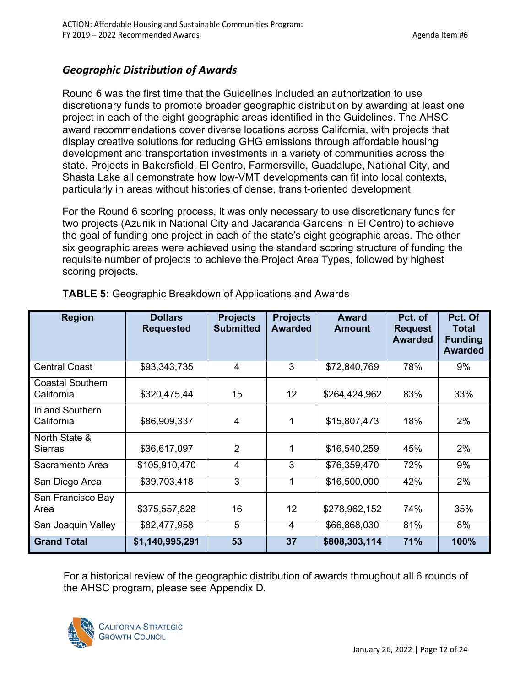## *Geographic Distribution of Awards*

Round 6 was the first time that the Guidelines included an authorization to use discretionary funds to promote broader geographic distribution by awarding at least one project in each of the eight geographic areas identified in the Guidelines. The AHSC award recommendations cover diverse locations across California, with projects that display creative solutions for reducing GHG emissions through affordable housing development and transportation investments in a variety of communities across the state. Projects in Bakersfield, El Centro, Farmersville, Guadalupe, National City, and Shasta Lake all demonstrate how low-VMT developments can fit into local contexts, particularly in areas without histories of dense, transit-oriented development.

For the Round 6 scoring process, it was only necessary to use discretionary funds for two projects (Azuriik in National City and Jacaranda Gardens in El Centro) to achieve the goal of funding one project in each of the state's eight geographic areas. The other six geographic areas were achieved using the standard scoring structure of funding the requisite number of projects to achieve the Project Area Types, followed by highest scoring projects.

| <b>Region</b>                         | <b>Dollars</b><br><b>Requested</b> | <b>Projects</b><br><b>Submitted</b> | <b>Projects</b><br><b>Awarded</b> | <b>Award</b><br><b>Amount</b> | Pct. of<br><b>Request</b><br><b>Awarded</b> | Pct. Of<br><b>Total</b><br><b>Funding</b><br><b>Awarded</b> |
|---------------------------------------|------------------------------------|-------------------------------------|-----------------------------------|-------------------------------|---------------------------------------------|-------------------------------------------------------------|
| <b>Central Coast</b>                  | \$93,343,735                       | $\overline{4}$                      | 3                                 | \$72,840,769                  | 78%                                         | 9%                                                          |
| <b>Coastal Southern</b><br>California | \$320,475,44                       | 15                                  | 12                                | \$264,424,962                 | 83%                                         | 33%                                                         |
| <b>Inland Southern</b><br>California  | \$86,909,337                       | $\overline{4}$                      | 1                                 | \$15,807,473                  | 18%                                         | 2%                                                          |
| North State &<br><b>Sierras</b>       | \$36,617,097                       | $\overline{2}$                      | $\mathbf 1$                       | \$16,540,259                  | 45%                                         | 2%                                                          |
| Sacramento Area                       | \$105,910,470                      | $\overline{4}$                      | 3                                 | \$76,359,470                  | 72%                                         | 9%                                                          |
| San Diego Area                        | \$39,703,418                       | 3                                   | $\mathbf 1$                       | \$16,500,000                  | 42%                                         | 2%                                                          |
| San Francisco Bay<br>Area             | \$375,557,828                      | 16                                  | 12                                | \$278,962,152                 | 74%                                         | 35%                                                         |
| San Joaquin Valley                    | \$82,477,958                       | 5                                   | 4                                 | \$66,868,030                  | 81%                                         | 8%                                                          |
| <b>Grand Total</b>                    | \$1,140,995,291                    | 53                                  | 37                                | \$808,303,114                 | 71%                                         | 100%                                                        |

**TABLE 5:** Geographic Breakdown of Applications and Awards

For a historical review of the geographic distribution of awards throughout all 6 rounds of the AHSC program, please see Appendix D.

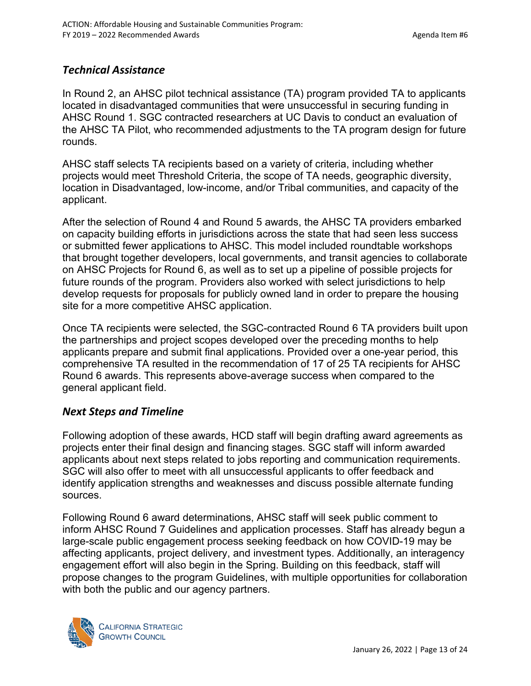## *Technical Assistance*

In Round 2, an AHSC pilot technical assistance (TA) program provided TA to applicants located in disadvantaged communities that were unsuccessful in securing funding in AHSC Round 1. SGC contracted researchers at UC Davis to conduct an evaluation of the AHSC TA Pilot, who recommended adjustments to the TA program design for future rounds.

AHSC staff selects TA recipients based on a variety of criteria, including whether projects would meet Threshold Criteria, the scope of TA needs, geographic diversity, location in Disadvantaged, low-income, and/or Tribal communities, and capacity of the applicant.

After the selection of Round 4 and Round 5 awards, the AHSC TA providers embarked on capacity building efforts in jurisdictions across the state that had seen less success or submitted fewer applications to AHSC. This model included roundtable workshops that brought together developers, local governments, and transit agencies to collaborate on AHSC Projects for Round 6, as well as to set up a pipeline of possible projects for future rounds of the program. Providers also worked with select jurisdictions to help develop requests for proposals for publicly owned land in order to prepare the housing site for a more competitive AHSC application.

Once TA recipients were selected, the SGC-contracted Round 6 TA providers built upon the partnerships and project scopes developed over the preceding months to help applicants prepare and submit final applications. Provided over a one-year period, this comprehensive TA resulted in the recommendation of 17 of 25 TA recipients for AHSC Round 6 awards. This represents above-average success when compared to the general applicant field.

## *Next Steps and Timeline*

Following adoption of these awards, HCD staff will begin drafting award agreements as projects enter their final design and financing stages. SGC staff will inform awarded applicants about next steps related to jobs reporting and communication requirements. SGC will also offer to meet with all unsuccessful applicants to offer feedback and identify application strengths and weaknesses and discuss possible alternate funding sources.

Following Round 6 award determinations, AHSC staff will seek public comment to inform AHSC Round 7 Guidelines and application processes. Staff has already begun a large-scale public engagement process seeking feedback on how COVID-19 may be affecting applicants, project delivery, and investment types. Additionally, an interagency engagement effort will also begin in the Spring. Building on this feedback, staff will propose changes to the program Guidelines, with multiple opportunities for collaboration with both the public and our agency partners.

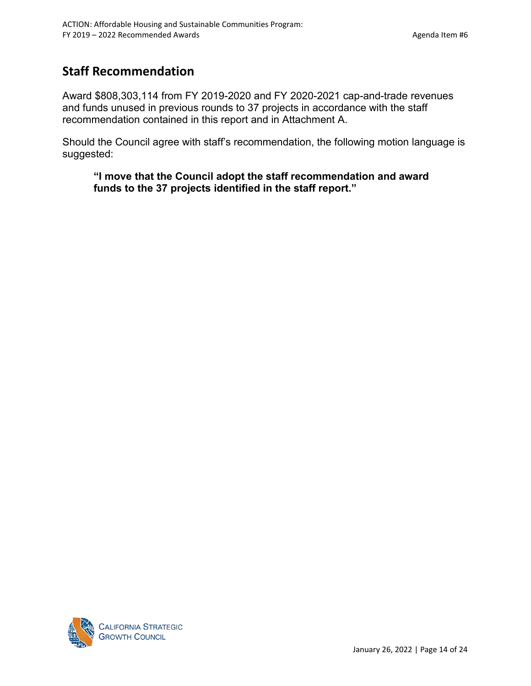# **Staff Recommendation**

Award \$808,303,114 from FY 2019-2020 and FY 2020-2021 cap-and-trade revenues and funds unused in previous rounds to 37 projects in accordance with the staff recommendation contained in this report and in Attachment A.

Should the Council agree with staff's recommendation, the following motion language is suggested:

**"I move that the Council adopt the staff recommendation and award funds to the 37 projects identified in the staff report."**

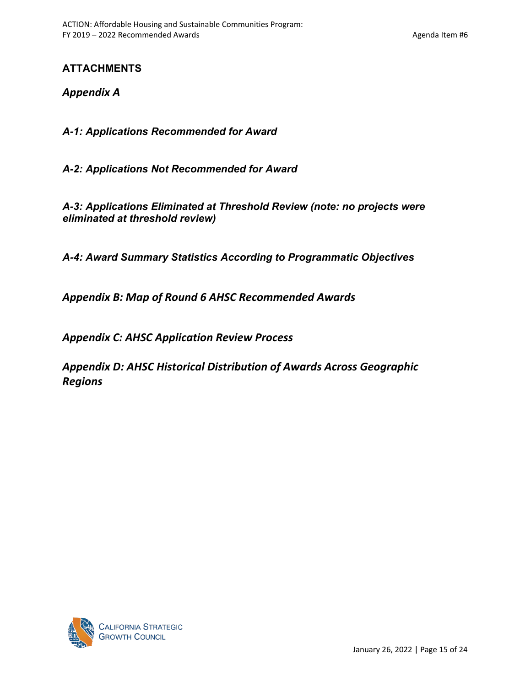## **ATTACHMENTS**

*Appendix A* 

*A-1: Applications Recommended for Award*

*A-2: Applications Not Recommended for Award*

*A-3: Applications Eliminated at Threshold Review (note: no projects were eliminated at threshold review)*

*A-4: Award Summary Statistics According to Programmatic Objectives*

*Appendix B: Map of Round 6 AHSC Recommended Awards* 

*Appendix C: AHSC Application Review Process* 

*Appendix D: AHSC Historical Distribution of Awards Across Geographic Regions*

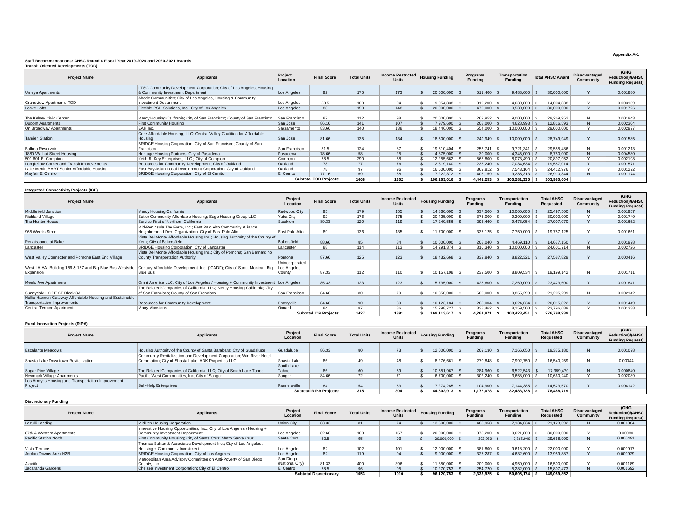### **Staff Recommendations: AHSC Round 6 Fiscal Year 2019-2020 and 2020-2021 Awards Transit Oriented Developments (TOD)**

| <b>Project Name</b>                         | <b>Applicants</b>                                                        | Project<br>Location | <b>Final Score</b>            | <b>Total Units</b> | <b>Income Restricted</b><br>Units | <b>Housing Funding</b> | Programs<br><b>Funding</b> |              | <b>Transportation</b><br><b>Fundina</b> | <b>Total AHSC Award</b> | <b>Disadvantaged</b><br>Community | (GHG<br><b>Reduction)/(AHSC</b><br><b>Funding Request)</b> |
|---------------------------------------------|--------------------------------------------------------------------------|---------------------|-------------------------------|--------------------|-----------------------------------|------------------------|----------------------------|--------------|-----------------------------------------|-------------------------|-----------------------------------|------------------------------------------------------------|
|                                             | LTSC Community Development Corporation; City of Los Angeles, Housing     |                     |                               |                    |                                   |                        |                            |              |                                         |                         | $\sqrt{ }$                        |                                                            |
| <b>Umeya Apartments</b>                     | & Community Investment Department                                        | Los Angeles         | 92                            | 175                | 173                               | 20,000,000             |                            | 511.400      | 9.488.600                               | 30,000,000              |                                   | 0.001880                                                   |
|                                             | Abode Communities; City of Los Angeles, Housing & Community              |                     |                               |                    |                                   |                        |                            |              |                                         |                         |                                   |                                                            |
| <b>Grandview Apartments TOD</b>             | <b>Investment Department</b>                                             | Los Angeles         | 88.5                          | 100                | 94                                | 9,054,838              |                            | 319,200      | 4,630,800                               | 14.004.838              |                                   | 0.003169                                                   |
| Locke Lofts                                 | Flexible PSH Solutions, Inc.; City of Los Angeles                        | Los Angeles         | 88                            | 150                | 148                               | 20,000,000             |                            | 470,000      | 9,530,000                               | 30,000,000              |                                   | 0.001726                                                   |
|                                             |                                                                          |                     |                               |                    |                                   |                        |                            |              |                                         |                         |                                   |                                                            |
| The Kelsey Civic Center                     | Mercy Housing California; City of San Francisco; County of San Francisco | San Francisco       | 87                            | 112                | 98                                | 20,000,000             |                            | 269,952      | 9,000,000                               | 29,269,952              | N                                 | 0.001943                                                   |
| <b>Dupont Apartments</b>                    | <b>First Community Housing</b>                                           | San Jose            | 86.16                         | 141                | 107                               | 7,979,600              |                            | 208,000      | 4,628,993                               | 12,816,593              | N                                 | 0.002304                                                   |
| On Broadway Apartments                      | EAH Inc.                                                                 | Sacramento          | 83.66                         | 140                | 138                               | 18,446,000             |                            | 554,000      | 10,000,000                              | 29,000,000              |                                   | 0.002977                                                   |
|                                             | Core Affordable Housing, LLC: Central Valley Coalition for Affordable    |                     |                               |                    |                                   |                        |                            |              |                                         |                         |                                   |                                                            |
| <b>Tamien Station</b>                       | Housing                                                                  | San Jose            | 81.66                         | 135                | 134                               | 18,500,000             |                            | 249,949      | 10,000,000                              | 28,749,949              |                                   | 0.001585                                                   |
|                                             | BRIDGE Housing Corporation; City of San Francisco; County of San         |                     |                               |                    |                                   |                        |                            |              |                                         |                         |                                   |                                                            |
| Balboa Reservoir                            | Francisco                                                                | San Francisco       | 81.5                          | 124                | 87                                | 19.610.404 \$          |                            | 253.741      | 9.721.341                               | 29,585,486              | N                                 | 0.001213                                                   |
| 1880 Walnut Street Housing                  | Heritage Housing Partners; City of Pasadena                              | Pasadena            | 78.66                         | 58                 | 25                                | $4,375,000$ \$         |                            | 30,000       | $4.345.000$ \$                          | 8,750,000               | N                                 | 0.004580                                                   |
| 501 601 E. Compton                          | Keith B. Key Enterprises, LLC.; City of Compton                          | Compton             | 78.5                          | 290                | 58                                | 12.255.662             |                            | 568,800      | 8,073,490                               | 20,897,952              |                                   | 0.002198                                                   |
| Longfellow Corner and Transit Improvements  | Resources for Community Development; City of Oakland                     | Oakland             | 78                            | 77                 | 76                                | 12.319.140             |                            | $233.240$ \$ | $7.034.634$ \$                          | 19.587.014              |                                   | 0.001571                                                   |
| Lake Merritt BART Senior Affordable Housing | East Bay Asian Local Development Corporation: City of Oakland            | Oakland             | 78                            | 97                 | 96                                | 16.500.000             |                            | 369,812      | 7.543.164                               | 24.412.976              |                                   | 0.001272                                                   |
| Mayfair El Cerrito                          | BRIDGE Housing Corporation; City of El Cerrito                           | <b>El Cerrito</b>   | 77.16                         | 69                 | 68                                | 17.222.372             |                            | 403,159      | 9,285,313                               | 26,910,844              | N                                 | 0.001174                                                   |
|                                             |                                                                          |                     | <b>Subtotal TOD Projects:</b> | 1668               | 1302                              | 196.263.016            |                            | 4,441,253 \$ | 103.281.335                             | 303.985.604             |                                   |                                                            |

#### **Integrated Connectivity Projects (ICP)**

| <b>Project Name</b>                                                   | <b>Applicants</b>                                                                                                         | Project<br>Location                     | <b>Final Score</b>            | <b>Total Units</b> | <b>Income Restricted</b><br>Units | <b>Housing Funding</b> | Programs<br><b>Funding</b> | <b>Transportation</b><br>Fundina | <b>Total AHSC</b><br>Requested | <b>Disadvantaged</b><br>Community | (GHG<br><b>Reduction)/(AHSC</b><br><b>Funding Request)</b> |
|-----------------------------------------------------------------------|---------------------------------------------------------------------------------------------------------------------------|-----------------------------------------|-------------------------------|--------------------|-----------------------------------|------------------------|----------------------------|----------------------------------|--------------------------------|-----------------------------------|------------------------------------------------------------|
| Middlefield Junction                                                  | Mercy Housing California                                                                                                  | Redwood City                            | 95                            | 179                | 155                               | 14,860,000             | 637,500                    | 0.000,000                        | 25,497,500                     | N.                                | 0.001957                                                   |
| <b>Richland Village</b>                                               | Sutter Community Affordable Housing; Sage Housing Group LLC                                                               | Yuba City                               | 92                            | 176                | 175                               | 20,425,000             | 375,000                    | 9,200,000                        | 30,000,000                     |                                   | 0.001740                                                   |
| The Hunter House                                                      | Service First of Northern California                                                                                      | Stockton                                | 89.33                         | 120                | 119                               | 17.240.556             | 293.460                    | 9,473,054                        | 27,007,070                     |                                   | 0.001652                                                   |
| 965 Weeks Street                                                      | Mid-Peninsula The Farm, Inc.: East Palo Alto Community Alliance<br>Neighborhood Dev. Organization; City of East Palo Alto | East Palo Alto                          | 89                            | 136                | 135                               | 11,700,000             | 337.125                    | 7,750,000                        | 19,787,125                     |                                   | 0.001661                                                   |
| Renaissance at Baker                                                  | Vista Del Monte Affordable Housing Inc.; Housing Authority of the County of<br>Kern: City of Bakersfield                  | Bakersfield                             | 88.66                         | 85                 | 84                                | 10.000.000             | 208,040                    | $4,469,110$ \$                   | 14,677,150                     |                                   | 0.001978                                                   |
| Lancaster                                                             | BRIDGE Housing Corporation; City of Lancaster                                                                             | Lancaster                               | 88                            | 114                | 113                               | 14.291.374             | 310.340                    | 0.000,000                        | 24.601.714                     | N                                 | 0.002726                                                   |
| West Valley Connector and Pomona East End Village                     | Vista Del Monte Affordable Housing Inc.; City of Pomona; San Bernardino<br>County Transportation Authority                | Pomona                                  | 87.66                         | 125                | 123                               | 18,432,668             | 332,840                    | 8,822,321                        | 27,587,829                     | $\mathbf{v}$                      | 0.003416                                                   |
| West LA VA- Building 156 & 157 and Big Blue Bus Westside<br>Expansion | Century Affordable Development, Inc. ("CADI"); City of Santa Monica - Big<br><b>Blue Bus</b>                              | Unincorporated<br>Los Angeles<br>County | 87.33                         | 112                | 110                               | 10.157.108             | 232,500                    | 8,809,534                        | 19,199,142                     | N                                 | 0.001711                                                   |
| Menlo Ave Apartments                                                  | Omni America LLC; City of Los Angeles / Housing + Community Investment Los Angeles                                        |                                         | 85.33                         | 123                | 123                               | 15,735,000             | 428,600                    | 7,260,000                        | 23,423,600                     |                                   | 0.001841                                                   |
| Sunnydale HOPE SF Block 3A                                            | The Related Companies of California, LLC; Mercy Housing California; City<br>of San Francisco; County of San Francisco     | San Francisco                           | 84.66                         | 80                 | 79                                | 10,850,000             | 500,000                    | 9,855,299                        | 21,205,299                     | N                                 | 0.002142                                                   |
| Nellie Hannon Gateway Affordable Housing and Sustainable              |                                                                                                                           |                                         |                               |                    |                                   |                        |                            |                                  |                                |                                   |                                                            |
| <b>Transportation Improvements</b>                                    | <b>Resources for Community Development</b>                                                                                | Emervville                              | 84.66                         | 90                 | 89                                | 10.123.184             | 268,004                    | 9.624.634                        | 20.015.822                     | $\lambda$                         | 0.001449                                                   |
| <b>Central Terrace Apartments</b>                                     | Many Mansions                                                                                                             | Oxnard                                  | 84                            | 87                 | 86                                | 15,298,727 \$          | 338,462                    | 8,159,500                        | 23,796,689                     |                                   | 0.001338                                                   |
|                                                                       |                                                                                                                           |                                         | <b>Subtotal ICP Projects:</b> | 1427               | 1391                              | 169.113.617            | 4.261.871                  | 103.423.451                      | 276.798.939                    |                                   |                                                            |

#### **Rural Innovation Projects (RIPA)**

| <b>Project Name</b>                                | <b>Applicants</b>                                                     | Project<br>Location | <b>Final Score</b>             | <b>Total Units</b> | <b>Income Restricted</b><br>Units | <b>Housing Funding</b> |  | Programs<br><b>Funding</b> |  |            |            |              |          | <b>Transportation</b><br><b>Funding</b> | <b>Total AHSC</b><br>Requested | Disadvantaged<br>Community | (GHG<br><b>Reduction)/(AHSC</b><br><b>Funding Request)</b> |
|----------------------------------------------------|-----------------------------------------------------------------------|---------------------|--------------------------------|--------------------|-----------------------------------|------------------------|--|----------------------------|--|------------|------------|--------------|----------|-----------------------------------------|--------------------------------|----------------------------|------------------------------------------------------------|
|                                                    |                                                                       |                     |                                |                    |                                   |                        |  |                            |  |            |            |              |          |                                         |                                |                            |                                                            |
| <b>Escalante Meadows</b>                           | Housing Authority of the County of Santa Barabara; City of Guadalupe  | Guadalupe           | 86.33                          | 80                 |                                   | 12.000.000             |  | 209.130                    |  | 7.166.050  | 19,375,180 | $\mathsf{N}$ | 0.001078 |                                         |                                |                            |                                                            |
|                                                    | Community Revitalization and Development Corporation; Win River Hotel |                     |                                |                    |                                   |                        |  |                            |  |            |            |              |          |                                         |                                |                            |                                                            |
| Shasta Lake Downtown Revitalization                | Corporation; City of Shasta Lake; ADK Properties LLC                  | Shasta Lake         | 86                             | 49                 |                                   | 3.276.661              |  | 270.848                    |  | 7.992.750  | 16,540,259 | N            | 0.00044  |                                         |                                |                            |                                                            |
|                                                    |                                                                       | South Lake          |                                |                    |                                   |                        |  |                            |  |            |            |              |          |                                         |                                |                            |                                                            |
| Sugar Pine Village                                 | The Related Companies of California, LLC; City of South Lake Tahoe    | Tahoe               | 86                             | 60                 | 59                                | 10.551.967   \$        |  | 284.960                    |  | 6.522.543  | 17.359.470 | $\mathsf{N}$ | 0.000840 |                                         |                                |                            |                                                            |
| Newmark Village Apartments                         | Pacific West Communities, Inc; City of Sanger                         | Sanger              | 84.66                          | 72                 |                                   | 6.700.000              |  | $302.240$ \$               |  | 3,658,000  | 10.660.240 |              | 0.002089 |                                         |                                |                            |                                                            |
| Los Arroyos Housing and Transportation Improvement |                                                                       |                     |                                |                    |                                   |                        |  |                            |  |            |            |              |          |                                         |                                |                            |                                                            |
| Projec                                             | Self-Help Enterprises                                                 | Farmersville        | 84                             | 54                 |                                   | 1.274.285              |  | 104.900                    |  | 7.144.385  | 14.523.570 |              | 0.004142 |                                         |                                |                            |                                                            |
|                                                    |                                                                       |                     | <b>Subtotal RIPA Projects:</b> | 315                | 304                               | 44.802.913             |  | 172.078                    |  | 32.483.728 | 78.458.719 |              |          |                                         |                                |                            |                                                            |

### **Discretionary Funding**

| <b>Project Name</b>          | <b>Applicants</b>                                                                                                                      | Project<br>Location                              | <b>Final Score</b>             | <b>Total Units</b> | <b>Income Restricted</b><br><b>Units</b> | <b>Housing Funding</b> | Programs<br><b>Fundina</b> |              | <b>Transportation</b><br><b>Funding</b> | <b>Total AHSC</b><br><b>Requested</b> | Disadvantaged<br>Community | (GHG<br><b>Reduction)/(AHSC</b><br><b>Funding Request)</b> |
|------------------------------|----------------------------------------------------------------------------------------------------------------------------------------|--------------------------------------------------|--------------------------------|--------------------|------------------------------------------|------------------------|----------------------------|--------------|-----------------------------------------|---------------------------------------|----------------------------|------------------------------------------------------------|
| Lazulli Landing              | MidPen Housing Corporation                                                                                                             | Union City                                       | 83.33                          |                    |                                          | 13,500,000             |                            | 488,958      | 7.134.634                               | 21.123.592                            | N.                         | 0.001384                                                   |
| 87th & Western Apartments    | Innovative Housing Opportunities, Inc.; City of Los Angeles / Housing +<br>Community Investment Department                             | Los Angeles                                      | 82.66                          | 160                | 157                                      | 20,000,000             |                            | 378,200      | 9.621.800                               | 30,000,000                            | $\ddot{\phantom{0}}$       | 0.00080                                                    |
| Pacific Station North        | First Community Housing; City of Santa Cruz; Metro Santa Cruz                                                                          | Santa Cruz                                       | 82.5                           | 95                 | 93                                       | 20,000,000             |                            | $302,960$ \$ | 9.365.940                               | 29,668,900                            |                            | 0.000491                                                   |
| Vista Terrace                | Thomas Safran & Associates Development Inc.; City of Los Angeles /<br>Housing + Community Investment                                   | Los Angeles                                      | 82                             | 102                | 101                                      | 12.000.000             |                            | 381.800      | 9.618.200                               | 22.000.000                            |                            | 0.000917                                                   |
| Jordan Downs Area H2B        | BRIDGE Housing Corporation; City of Los Angeles                                                                                        | Los Angeles                                      | 82                             | 119                | 94                                       | 9,000,000              |                            | 327.287      | 4.632.600                               | 13,959,887                            |                            | 0.000929                                                   |
| Azuriik<br>Jacaranda Gardens | Metropolitan Area Advisory Committee on Anti-Poverty of San Diego<br>County, Inc.<br>Chelsea Investment Corporation; City of El Centro | San Diego<br>(National City)<br><b>El Centro</b> | 81.33                          | 400                | 396                                      | 11.350.000             |                            | 200,000      | 4.950.000                               | 16,500,000                            |                            | 0.001189                                                   |
|                              |                                                                                                                                        |                                                  | 78.5                           | 96                 | 95                                       | 10.270.753             |                            | 254,720 \$   | 5.282.000                               | 15,807,473                            |                            | 0.001692                                                   |
|                              |                                                                                                                                        |                                                  | <b>Subtotal Discretionary:</b> | 1053               | 1010                                     | 96.120.753             |                            | 2.333.925    | 50.605.174                              | 149.059.852                           |                            |                                                            |

#### **Appendix A-1**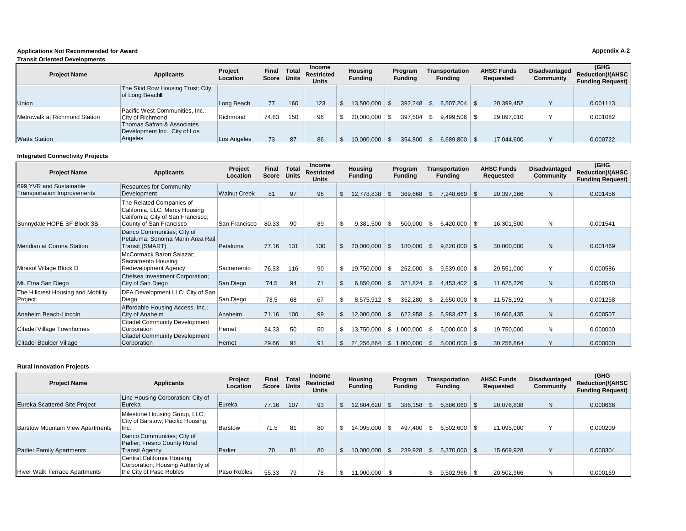### **Applications Not Recommended for Award Appendix A-2**

#### **Transportation Funding**  Long Beach 77 160 123 \$ 13,500,000 \$ 392,248 \$ 6,507,204 \$ 20,399,452 Y 0.001113 City of Richmond Richmond 74.83 150 96 \$ 20,000,000 \$ 397,504 \$ 9,499,506 \$ 29,897,010 Y 0.001082 Angeles Los Angeles 73 87 86 \$ 10,000,000 \$ 354,800 \$ 6,689,800 \$ 17,044,600 Y 0.000722 **Transit Oriented Developments Project Name Applicants Project Project Location Final Score Total Units Income Restricted Units Housing Funding Program Funding AHSC Funds Requested Disadvantaged Community (GHG Reduction)/(AHSC Funding Request)**  Union The Skid Row Housing Trust; City of Long Beach Metrowalk at Richmond Station Pacific West Communities, Inc.;<br>City of Richmond Watts Station Thomas Safran & Associates Development Inc.; City of Los<br>Angeles

### **Integrated Connectivity Projects**

| <b>Project Name</b>                                           | <b>Applicants</b>                                                                                                           | Project<br>Location | <b>Final</b><br>Score | Total<br><b>Units</b> | <b>Income</b><br><b>Restricted</b><br><b>Units</b> |     | <b>Housing</b><br><b>Funding</b> |     | Program<br><b>Funding</b> |     | <b>Transportation</b><br><b>Funding</b> |     | <b>AHSC Funds</b><br>Requested | Disadvantaged<br><b>Community</b> | (GHG<br><b>Reduction)/(AHSC</b><br><b>Funding Request)</b> |
|---------------------------------------------------------------|-----------------------------------------------------------------------------------------------------------------------------|---------------------|-----------------------|-----------------------|----------------------------------------------------|-----|----------------------------------|-----|---------------------------|-----|-----------------------------------------|-----|--------------------------------|-----------------------------------|------------------------------------------------------------|
| 699 YVR and Sustainable<br><b>Transportation Improvements</b> | <b>Resources for Community</b><br>Development                                                                               | <b>Walnut Creek</b> | 81                    | 97                    | 96                                                 |     | 12,778,838                       |     | 369,668                   |     | 7,248,660                               |     | 20,397,166                     | N                                 | 0.001456                                                   |
| Sunnydale HOPE SF Block 3B                                    | The Related Companies of<br>California, LLC; Mercy Housing<br>California; City of San Francisco;<br>County of San Francisco | San Francisco       | 80.33                 | 90                    | 89                                                 |     | 9.381.500                        | ۹.  | 500,000                   | \$. | 6,420,000                               |     | 16,301,500                     | N                                 | 0.001541                                                   |
| Meridian at Corona Station                                    | Danco Communities; City of<br>Petaluma; Sonoma Marin Area Rail<br>Transit (SMART)                                           | Petaluma            | 77.16                 | 131                   | 130                                                | \$. | 20,000,000                       | \$. | 180,000                   | \$. | $9,820,000$ \$                          |     | 30,000,000                     | N                                 | 0.001469                                                   |
| Mirasol Village Block D                                       | McCormack Baron Salazar;<br>Sacramento Housing<br>Redevelopment Agency                                                      | Sacramento          | 76.33                 | 116                   | 90                                                 |     | 19,750,000                       |     | 262,000                   |     | 9,539,000                               |     | 29,551,000                     |                                   | 0.000586                                                   |
| Mt. Etna San Diego                                            | Chelsea Investment Corporation;<br>City of San Diego                                                                        | San Diego           | 74.5                  | 94                    | 71                                                 |     | 6,850,000                        |     | 321,824                   | \$. | $4,453,402$ \$                          |     | 11,625,226                     | N                                 | 0.000540                                                   |
| The Hillcrest Housing and Mobility<br>Project                 | DFA Development LLC; City of San<br>Diego                                                                                   | San Diego           | 73.5                  | 68                    | 67                                                 |     | 8,575,912                        | -S  | 352,280                   | S   | 2,650,000                               | ∣S. | 11,578,192                     | N                                 | 0.001258                                                   |
| Anaheim Beach-Lincoln                                         | Affordable Housing Access, Inc.;<br>City of Anaheim                                                                         | Anaheim             | 71.16                 | 100                   | 99                                                 |     | 12,000,000                       | \$. | 622,958                   | \$. | $5,983,477$ \\$                         |     | 18,606,435                     | N                                 | 0.000507                                                   |
| Citadel Village Townhomes                                     | <b>Citadel Community Development</b><br>Corporation                                                                         | Hemet               | 34.33                 | 50                    | 50                                                 |     | 13,750,000                       |     | \$1,000,000               | \$  | $5,000,000$ \ \$                        |     | 19,750,000                     | N                                 | 0.000000                                                   |
| Citadel Boulder Village                                       | <b>Citadel Community Development</b><br>Corporation                                                                         | Hemet               | 29.66                 | 91                    | 91                                                 |     | 24,256,864                       | -S  | 1,000,000                 |     | $5,000,000$ \ \$                        |     | 30,256,864                     |                                   | 0.000000                                                   |

### **Rural Innovation Projects**

| <b>Project Name</b>                     | Applicants                                                                                 | <b>Project</b><br>Location | Final<br>Score | <b>Total</b><br><b>Units</b> | Income<br><b>Restricted</b><br><b>Units</b> | <b>Housing</b><br><b>Funding</b> | Program<br><b>Funding</b> | Transportation<br>Funding | <b>AHSC Funds</b><br>Requested | Disadvantaged<br>Community | (GHG<br>Reduction)/(AHSC<br><b>Funding Request)</b> |
|-----------------------------------------|--------------------------------------------------------------------------------------------|----------------------------|----------------|------------------------------|---------------------------------------------|----------------------------------|---------------------------|---------------------------|--------------------------------|----------------------------|-----------------------------------------------------|
| <b>Eureka Scattered Site Project</b>    | Linc Housing Corporation; City of<br>Eureka                                                | Eureka                     | 77.16          | 107                          | 93                                          | 12,804,620                       | 386,158                   | 6,886,060                 | 20,076,838                     | N                          | 0.000666                                            |
| <b>Barstow Mountain View Apartments</b> | Milestone Housing Group, LLC;<br>City of Barstow; Pacific Housing,<br>Inc.                 | <b>Barstow</b>             | 71.5           | 81                           | 80                                          | 14.095.000                       | 497.400                   | 6.502.600                 | 21,095,000                     |                            | 0.000209                                            |
| <b>Parlier Family Apartments</b>        | Danco Communities; City of<br>Parlier; Fresno County Rural<br><b>Transit Agency</b>        | Parlier                    | 70             | 81                           | 80                                          | 10.000.000                       | 239.928                   | 5,370,000                 | 15,609,928                     |                            | 0.000304                                            |
| <b>River Walk Terrace Apartments</b>    | Central California Housing<br>Corporation; Housing Authority of<br>the City of Paso Robles | Paso Robles                | 55.33          | 79                           | 78                                          | 11.000.000                       |                           | 9,502,966                 | 20,502,966                     |                            | 0.000169                                            |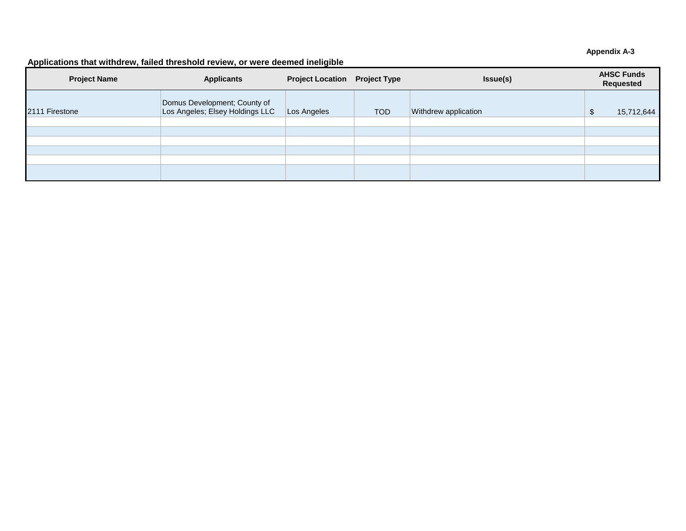### **Appendix A-3**

### **Applications that withdrew, failed threshold review, or were deemed ineligible**

| <b>Project Name</b> | <b>Project Location Project Type</b><br><b>Applicants</b>       |             |            | Issue(s)             | <b>AHSC Funds</b><br>Requested |            |  |
|---------------------|-----------------------------------------------------------------|-------------|------------|----------------------|--------------------------------|------------|--|
| 2111 Firestone      | Domus Development; County of<br>Los Angeles; Elsey Holdings LLC | Los Angeles | <b>TOD</b> | Withdrew application | w                              | 15,712,644 |  |
|                     |                                                                 |             |            |                      |                                |            |  |
|                     |                                                                 |             |            |                      |                                |            |  |
|                     |                                                                 |             |            |                      |                                |            |  |
|                     |                                                                 |             |            |                      |                                |            |  |
|                     |                                                                 |             |            |                      |                                |            |  |
|                     |                                                                 |             |            |                      |                                |            |  |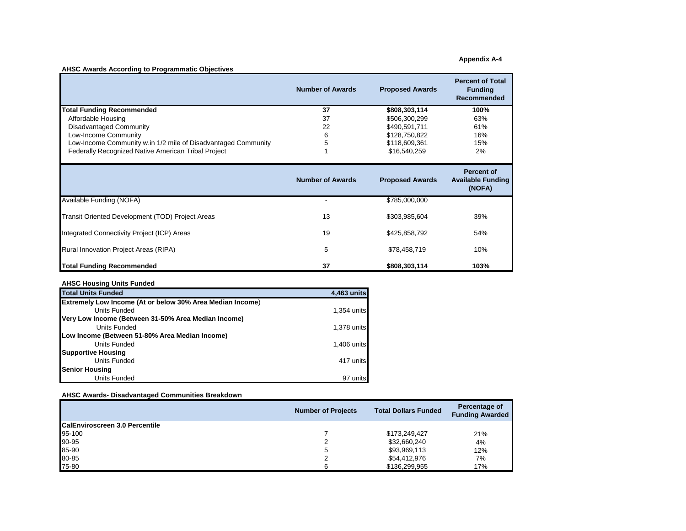**Appendix A-4** 

### **AHSC Awards According to Programmatic Objectives**

|                                                               | <b>Number of Awards</b> | <b>Proposed Awards</b> | <b>Percent of Total</b><br><b>Funding</b><br><b>Recommended</b> |
|---------------------------------------------------------------|-------------------------|------------------------|-----------------------------------------------------------------|
| <b>Total Funding Recommended</b>                              | 37                      | \$808,303,114          | 100%                                                            |
| Affordable Housing                                            | 37                      | \$506,300,299          | 63%                                                             |
| Disadvantaged Community                                       | 22                      | \$490,591,711          | 61%                                                             |
| Low-Income Community                                          | 6                       | \$128,750,822          | 16%                                                             |
| Low-Income Community w.in 1/2 mile of Disadvantaged Community | 5                       | \$118,609,361          | 15%                                                             |
| Federally Recognized Native American Tribal Project           |                         | \$16,540,259           | 2%                                                              |
|                                                               | <b>Number of Awards</b> | <b>Proposed Awards</b> | <b>Percent of</b><br><b>Available Funding</b><br>(NOFA)         |
| Available Funding (NOFA)                                      |                         | \$785,000,000          |                                                                 |
| Transit Oriented Development (TOD) Project Areas              | 13                      | \$303,985,604          | 39%                                                             |
| Integrated Connectivity Project (ICP) Areas                   | 19                      | \$425,858,792          | 54%                                                             |
| Rural Innovation Project Areas (RIPA)                         | 5                       | \$78,458,719           | 10%                                                             |
| <b>Total Funding Recommended</b>                              | 37                      |                        |                                                                 |

### **AHSC Housing Units Funded**

| <b>Total Units Funded</b>                                        | 4,463 units |
|------------------------------------------------------------------|-------------|
| <b>Extremely Low Income (At or below 30% Area Median Income)</b> |             |
| Units Funded                                                     | 1,354 units |
| Very Low Income (Between 31-50% Area Median Income)              |             |
| Units Funded                                                     | 1,378 units |
| Low Income (Between 51-80% Area Median Income)                   |             |
| Units Funded                                                     | 1,406 units |
| <b>Supportive Housing</b>                                        |             |
| Units Funded                                                     | 417 units   |
| <b>Senior Housing</b>                                            |             |
| Units Funded                                                     | 97 units    |

### **AHSC Awards- Disadvantaged Communities Breakdown**

|                                       | <b>Number of Projects</b> | <b>Total Dollars Funded</b> | Percentage of<br><b>Funding Awarded</b> |
|---------------------------------------|---------------------------|-----------------------------|-----------------------------------------|
| <b>CalEnviroscreen 3.0 Percentile</b> |                           |                             |                                         |
| 95-100                                |                           | \$173,249,427               | 21%                                     |
| 90-95                                 |                           | \$32,660,240                | 4%                                      |
| 85-90                                 | 5                         | \$93,969,113                | 12%                                     |
| 80-85                                 |                           | \$54,412,976                | 7%                                      |
| 75-80                                 | ี                         | \$136,299,955               | 17%                                     |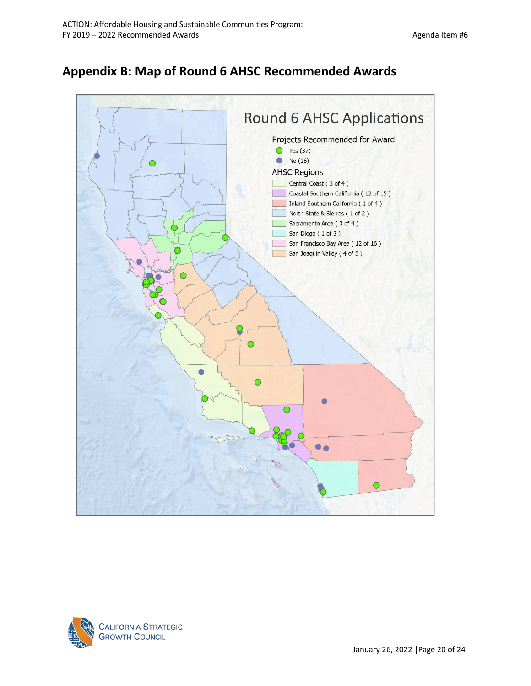# **Appendix B: Map of Round 6 AHSC Recommended Awards**



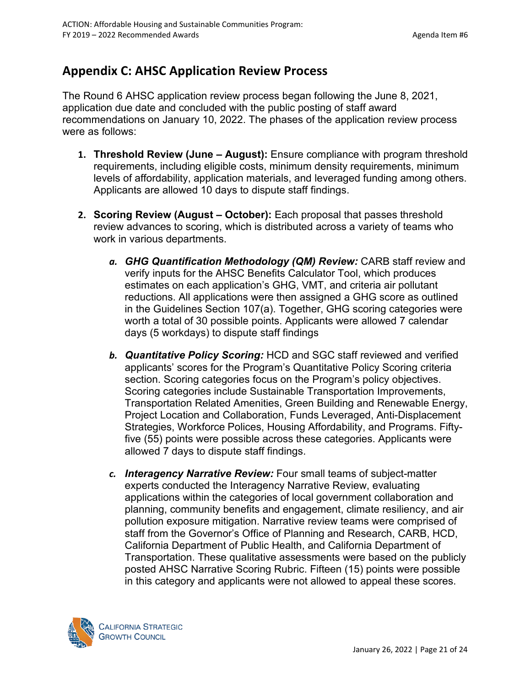# **Appendix C: AHSC Application Review Process**

The Round 6 AHSC application review process began following the June 8, 2021, application due date and concluded with the public posting of staff award recommendations on January 10, 2022. The phases of the application review process were as follows:

- **1. Threshold Review (June August):** Ensure compliance with program threshold requirements, including eligible costs, minimum density requirements, minimum levels of affordability, application materials, and leveraged funding among others. Applicants are allowed 10 days to dispute staff findings.
- **2. Scoring Review (August October):** Each proposal that passes threshold review advances to scoring, which is distributed across a variety of teams who work in various departments.
	- *a. GHG Quantification Methodology (QM) Review:* CARB staff review and verify inputs for the AHSC Benefits Calculator Tool, which produces estimates on each application's GHG, VMT, and criteria air pollutant reductions. All applications were then assigned a GHG score as outlined in the Guidelines Section 107(a). Together, GHG scoring categories were worth a total of 30 possible points. Applicants were allowed 7 calendar days (5 workdays) to dispute staff findings
	- *b. Quantitative Policy Scoring:* HCD and SGC staff reviewed and verified applicants' scores for the Program's Quantitative Policy Scoring criteria section. Scoring categories focus on the Program's policy objectives. Scoring categories include Sustainable Transportation Improvements, Transportation Related Amenities, Green Building and Renewable Energy, Project Location and Collaboration, Funds Leveraged, Anti-Displacement Strategies, Workforce Polices, Housing Affordability, and Programs. Fiftyfive (55) points were possible across these categories. Applicants were allowed 7 days to dispute staff findings.
	- *c. Interagency Narrative Review:* Four small teams of subject-matter experts conducted the Interagency Narrative Review, evaluating applications within the categories of local government collaboration and planning, community benefits and engagement, climate resiliency, and air pollution exposure mitigation. Narrative review teams were comprised of staff from the Governor's Office of Planning and Research, CARB, HCD, California Department of Public Health, and California Department of Transportation. These qualitative assessments were based on the publicly posted AHSC Narrative Scoring Rubric. Fifteen (15) points were possible in this category and applicants were not allowed to appeal these scores.

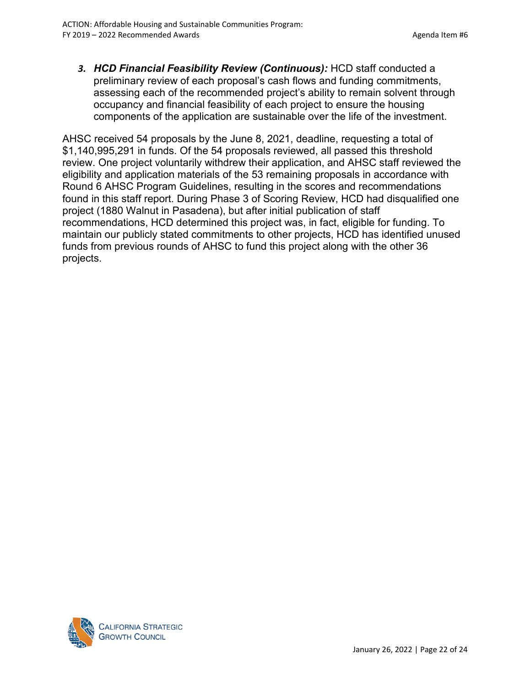*3. HCD Financial Feasibility Review (Continuous):* HCD staff conducted a preliminary review of each proposal's cash flows and funding commitments, assessing each of the recommended project's ability to remain solvent through occupancy and financial feasibility of each project to ensure the housing components of the application are sustainable over the life of the investment.

AHSC received 54 proposals by the June 8, 2021, deadline, requesting a total of \$1,140,995,291 in funds. Of the 54 proposals reviewed, all passed this threshold review. One project voluntarily withdrew their application, and AHSC staff reviewed the eligibility and application materials of the 53 remaining proposals in accordance with Round 6 AHSC Program Guidelines, resulting in the scores and recommendations found in this staff report. During Phase 3 of Scoring Review, HCD had disqualified one project (1880 Walnut in Pasadena), but after initial publication of staff recommendations, HCD determined this project was, in fact, eligible for funding. To maintain our publicly stated commitments to other projects, HCD has identified unused funds from previous rounds of AHSC to fund this project along with the other 36 projects.

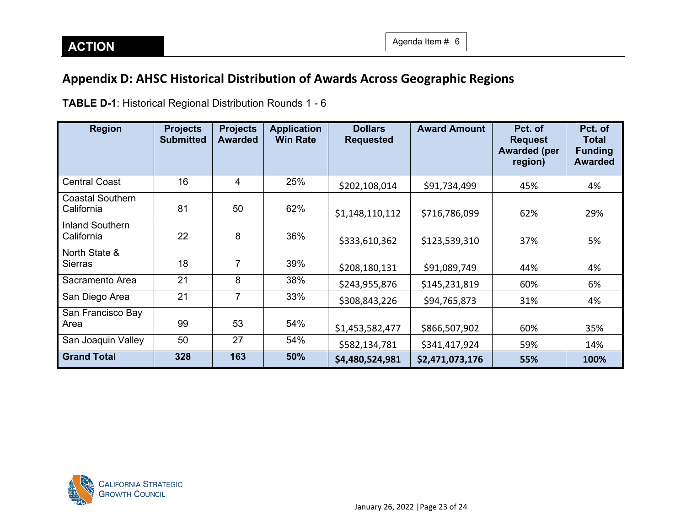**Pct. of Total Funding Awarded**

# **Appendix D: AHSC Historical Distribution of Awards Across Geographic Regions**

**Region Projects Submitted Projects Awarded Application Win Rate Dollars Requested Award Amount Pct. of Request Awarded (per region)** Central Coast | 16 | 4 | 25% | ş202,108,014 | \$91,734,499 | 45% | 4% Coastal Southern California 81 50 62% <sub>\$1,148,110,112</sub> \$716,786,099 62% 29% Inland Southern California 22 8 36% \$333,610,362 \$123,539,310 37% 5% North State & Sierras 18 7 39% \$208,180,131 \$91,089,749 44% 4% Sacramento Area 21 8 38% \$243,955,876 \$145,231,819 60% 6%

San Diego Area | 21 | 7 | 33% | ş308,843,226 | \$94,765,873 | 31% | 4%

Area 99 53 54% \$1,453,582,477 \$866,507,902 60% 35% San Joaquin Valley | 50 | 27 | 54% | \$582,134,781 | \$341,417,924 | 59% | 14% **Grand Total 328 163 50% \$4,480,524,981 \$2,471,073,176 55% 100%**

**TABLE D-1**: Historical Regional Distribution Rounds 1 - 6



San Francisco Bay